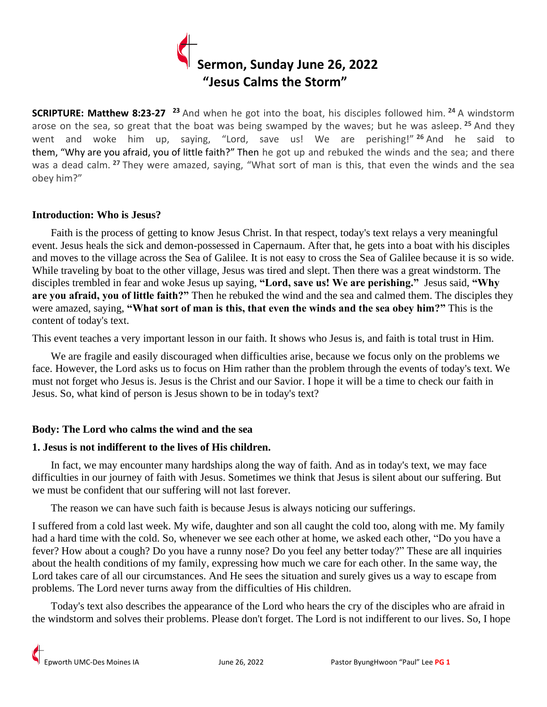

**SCRIPTURE: Matthew 8:23-27 <sup>23</sup>** And when he got into the boat, his disciples followed him. **<sup>24</sup>** A windstorm arose on the sea, so great that the boat was being swamped by the waves; but he was asleep. **<sup>25</sup>** And they went and woke him up, saying, "Lord, save us! We are perishing!" **<sup>26</sup>** And he said to them, "Why are you afraid, you of little faith?" Then he got up and rebuked the winds and the sea; and there was a dead calm. **<sup>27</sup>** They were amazed, saying, "What sort of man is this, that even the winds and the sea obey him?"

#### **Introduction: Who is Jesus?**

 Faith is the process of getting to know Jesus Christ. In that respect, today's text relays a very meaningful event. Jesus heals the sick and demon-possessed in Capernaum. After that, he gets into a boat with his disciples and moves to the village across the Sea of Galilee. It is not easy to cross the Sea of Galilee because it is so wide. While traveling by boat to the other village, Jesus was tired and slept. Then there was a great windstorm. The disciples trembled in fear and woke Jesus up saying, **"Lord, save us! We are perishing."** Jesus said, **"Why are you afraid, you of little faith?"** Then he rebuked the wind and the sea and calmed them. The disciples they were amazed, saying, **"What sort of man is this, that even the winds and the sea obey him?"** This is the content of today's text.

This event teaches a very important lesson in our faith. It shows who Jesus is, and faith is total trust in Him.

 We are fragile and easily discouraged when difficulties arise, because we focus only on the problems we face. However, the Lord asks us to focus on Him rather than the problem through the events of today's text. We must not forget who Jesus is. Jesus is the Christ and our Savior. I hope it will be a time to check our faith in Jesus. So, what kind of person is Jesus shown to be in today's text?

### **Body: The Lord who calms the wind and the sea**

# **1. Jesus is not indifferent to the lives of His children.**

 In fact, we may encounter many hardships along the way of faith. And as in today's text, we may face difficulties in our journey of faith with Jesus. Sometimes we think that Jesus is silent about our suffering. But we must be confident that our suffering will not last forever.

The reason we can have such faith is because Jesus is always noticing our sufferings.

I suffered from a cold last week. My wife, daughter and son all caught the cold too, along with me. My family had a hard time with the cold. So, whenever we see each other at home, we asked each other, "Do you have a fever? How about a cough? Do you have a runny nose? Do you feel any better today?" These are all inquiries about the health conditions of my family, expressing how much we care for each other. In the same way, the Lord takes care of all our circumstances. And He sees the situation and surely gives us a way to escape from problems. The Lord never turns away from the difficulties of His children.

 Today's text also describes the appearance of the Lord who hears the cry of the disciples who are afraid in the windstorm and solves their problems. Please don't forget. The Lord is not indifferent to our lives. So, I hope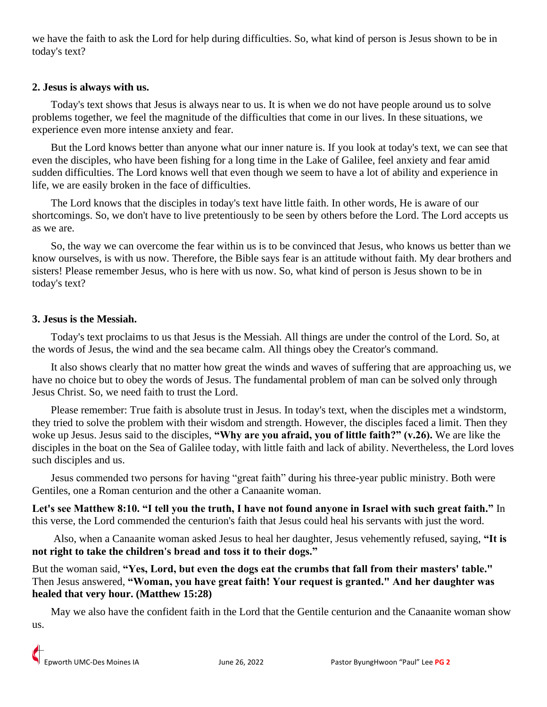we have the faith to ask the Lord for help during difficulties. So, what kind of person is Jesus shown to be in today's text?

## **2. Jesus is always with us.**

 Today's text shows that Jesus is always near to us. It is when we do not have people around us to solve problems together, we feel the magnitude of the difficulties that come in our lives. In these situations, we experience even more intense anxiety and fear.

 But the Lord knows better than anyone what our inner nature is. If you look at today's text, we can see that even the disciples, who have been fishing for a long time in the Lake of Galilee, feel anxiety and fear amid sudden difficulties. The Lord knows well that even though we seem to have a lot of ability and experience in life, we are easily broken in the face of difficulties.

 The Lord knows that the disciples in today's text have little faith. In other words, He is aware of our shortcomings. So, we don't have to live pretentiously to be seen by others before the Lord. The Lord accepts us as we are.

 So, the way we can overcome the fear within us is to be convinced that Jesus, who knows us better than we know ourselves, is with us now. Therefore, the Bible says fear is an attitude without faith. My dear brothers and sisters! Please remember Jesus, who is here with us now. So, what kind of person is Jesus shown to be in today's text?

## **3. Jesus is the Messiah.**

 Today's text proclaims to us that Jesus is the Messiah. All things are under the control of the Lord. So, at the words of Jesus, the wind and the sea became calm. All things obey the Creator's command.

 It also shows clearly that no matter how great the winds and waves of suffering that are approaching us, we have no choice but to obey the words of Jesus. The fundamental problem of man can be solved only through Jesus Christ. So, we need faith to trust the Lord.

 Please remember: True faith is absolute trust in Jesus. In today's text, when the disciples met a windstorm, they tried to solve the problem with their wisdom and strength. However, the disciples faced a limit. Then they woke up Jesus. Jesus said to the disciples, **"Why are you afraid, you of little faith?" (v.26).** We are like the disciples in the boat on the Sea of Galilee today, with little faith and lack of ability. Nevertheless, the Lord loves such disciples and us.

 Jesus commended two persons for having "great faith" during his three-year public ministry. Both were Gentiles, one a Roman centurion and the other a Canaanite woman.

**Let's see Matthew 8:10. "I tell you the truth, I have not found anyone in Israel with such great faith."** In this verse, the Lord commended the centurion's faith that Jesus could heal his servants with just the word.

 Also, when a Canaanite woman asked Jesus to heal her daughter, Jesus vehemently refused, saying, **"It is not right to take the children's bread and toss it to their dogs."**

But the woman said, **"Yes, Lord, but even the dogs eat the crumbs that fall from their masters' table."** Then Jesus answered, **"Woman, you have great faith! Your request is granted." And her daughter was healed that very hour. (Matthew 15:28)**

 May we also have the confident faith in the Lord that the Gentile centurion and the Canaanite woman show us.